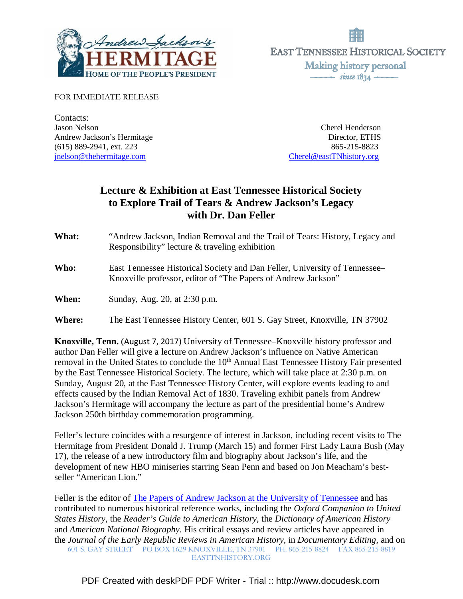



FOR IMMEDIATE RELEASE

Contacts: Jason Nelson Cherel Henderson Andrew Jackson's Hermitage Director, ETHS (615) 889-2941, ext. 223 865-215-8823 jnelson@thehermitage.com Cherel@eastTNhistory.org

# **Lecture & Exhibition at East Tennessee Historical Society to Explore Trail of Tears & Andrew Jackson's Legacy with Dr. Dan Feller**

**What:** "Andrew Jackson, Indian Removal and the Trail of Tears: History, Legacy and Responsibility" lecture & traveling exhibition

- **Who:** East Tennessee Historical Society and Dan Feller, University of Tennessee– Knoxville professor, editor of "The Papers of Andrew Jackson"
- **When:** Sunday, Aug. 20, at 2:30 p.m.

**Where:** The East Tennessee History Center, 601 S. Gay Street, Knoxville, TN 37902

**Knoxville, Tenn.** (August 7, 2017) University of Tennessee–Knoxville history professor and author Dan Feller will give a lecture on Andrew Jackson's influence on Native American removal in the United States to conclude the 10<sup>th</sup> Annual East Tennessee History Fair presented by the East Tennessee Historical Society. The lecture, which will take place at 2:30 p.m. on Sunday, August 20, at the East Tennessee History Center, will explore events leading to and effects caused by the Indian Removal Act of 1830. Traveling exhibit panels from Andrew Jackson's Hermitage will accompany the lecture as part of the presidential home's Andrew Jackson 250th birthday commemoration programming.

Feller's lecture coincides with a resurgence of interest in Jackson, including recent visits to The Hermitage from President Donald J. Trump (March 15) and former First Lady Laura Bush (May 17), the release of a new introductory film and biography about Jackson's life, and the development of new HBO miniseries starring Sean Penn and based on Jon Meacham's bestseller "American Lion."

601 S. GAY STREET PO BOX 1629 KNOXVILLE, TN 37901 PH. 865-215-8824 FAX 865-215-8819 EASTTNHISTORY.ORG Feller is the editor of The Papers of Andrew Jackson at the University of Tennessee and has contributed to numerous historical reference works, including the *Oxford Companion to United States History*, the *Reader's Guide to American History*, the *Dictionary of American History* and *American National Biography*. His critical essays and review articles have appeared in the *Journal of the Early Republic Reviews in American History*, in *Documentary Editing,* and on